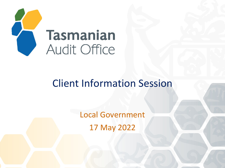

### Client Information Session

Local Government 17 May 2022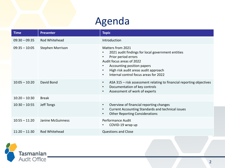## Agenda

| <b>Time</b>     | <b>Presenter</b>        | <b>Topic</b>                                                                                                                                                                                                                                                                                                      |
|-----------------|-------------------------|-------------------------------------------------------------------------------------------------------------------------------------------------------------------------------------------------------------------------------------------------------------------------------------------------------------------|
| $09:30 - 09:35$ | Rod Whitehead           | Introduction                                                                                                                                                                                                                                                                                                      |
| $09:35 - 10:05$ | <b>Stephen Morrison</b> | <b>Matters from 2021</b><br>2021 audit findings for local government entities<br>$\bullet$<br>Prior period errors<br>$\bullet$<br>Audit focus areas of 2022<br>Accounting position papers<br>$\bullet$<br>High risk audit areas audit approach<br>$\bullet$<br>Internal control focus areas for 2022<br>$\bullet$ |
| $10:05 - 10:20$ | David Bond              | ASA 315 - risk assessment relating to financial reporting objectives<br>$\bullet$<br>Documentation of key controls<br>$\bullet$<br>Assessment of work of experts<br>$\bullet$                                                                                                                                     |
| $10:20 - 10:30$ | <b>Break</b>            |                                                                                                                                                                                                                                                                                                                   |
| $10:30 - 10:55$ | Jeff Tongs              | Overview of financial reporting changes<br>$\bullet$<br>Current Accounting Standards and technical issues<br>$\bullet$<br><b>Other Reporting Considerations</b><br>$\bullet$                                                                                                                                      |
| $10:55 - 11:20$ | Janine McGuinness       | <b>Performance Audit</b><br>COVID-19 wrap up<br>$\bullet$                                                                                                                                                                                                                                                         |
| $11:20 - 11:30$ | Rod Whitehead           | <b>Questions and Close</b>                                                                                                                                                                                                                                                                                        |

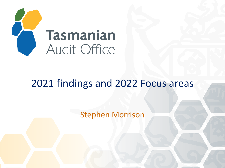

### 2021 findings and 2022 Focus areas

Stephen Morrison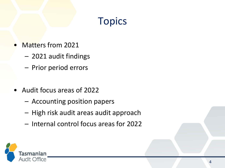### Topics

- Matters from 2021
	- 2021 audit findings
	- Prior period errors
- Audit focus areas of 2022
	- Accounting position papers
	- High risk audit areas audit approach
	- Internal control focus areas for 2022

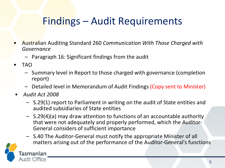### Findings – Audit Requirements

- Australian Auditing Standard 260 *Communication With Those Charged with Governance*
	- Paragraph 16: Significant findings from the audit
- TAO
	- Summary level in Report to those charged with governance (completion report)
	- Detailed level in Memorandum of Audit Findings (Copy sent to Minister)
- *Audit Act 2008*
	- S.29(1) report to Parliament in writing on the audit of State entities and audited subsidiaries of State entities
	- S.29(4)(a) may draw attention to functions of an accountable authority that were not adequately and properly performed, which the Auditor-General considers of sufficient importance
	- S.40 The Auditor-General must notify the appropriate Minister of all matters arising out of the performance of the Auditor-General's functions

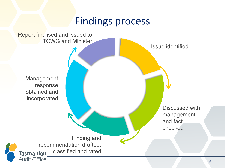### Findings process

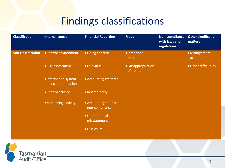### Findings classifications

| <b>Classification</b>     | <b>Internal control</b>                   | <b>Financial Reporting</b>              | <b>Fraud</b>                    | Non-compliance<br>with laws and<br>regulations | <b>Other significant</b><br>matters |
|---------------------------|-------------------------------------------|-----------------------------------------|---------------------------------|------------------------------------------------|-------------------------------------|
| <b>Sub-classification</b> | • Control environment                     | • Going concern                         | · Intentional<br>misstatements  |                                                | • Management<br>actions             |
|                           | • Risk assessment                         | • Fair value                            | • Misappropriation<br>of assets |                                                | • Other difficulties                |
|                           | · Information system<br>and communication | • Accounting estimate                   |                                 |                                                |                                     |
|                           | • Control activity                        | • Related party                         |                                 |                                                |                                     |
|                           | • Monitoring activity                     | • Accounting standard<br>non-compliance |                                 |                                                |                                     |
|                           |                                           | · Unintentional<br>misstatement         |                                 |                                                |                                     |
|                           |                                           | · Disclosure                            |                                 |                                                |                                     |
|                           |                                           |                                         |                                 |                                                |                                     |

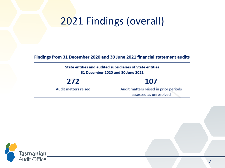## 2021 Findings (overall)

Findings from 31 December 2020 and 30 June 2021 financial statement audits

State entities and audited subsidiaries of State entities 31 December 2020 and 30 June 2021

272

Audit matters raised

### 107

Audit matters raised in prior periods assessed as unresolved

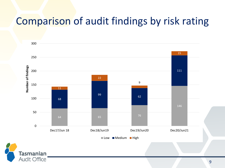### Comparison of audit findings by risk rating



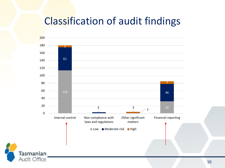### Classification of audit findings

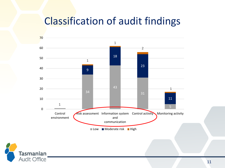### Classification of audit findings



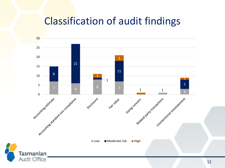### Classification of audit findings

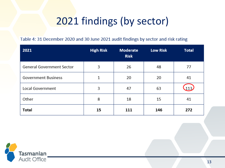## 2021 findings (by sector)

#### Table 4: 31 December 2020 and 30 June 2021 audit findings by sector and risk rating

| 2021                             | <b>High Risk</b> | <b>Moderate</b><br><b>Risk</b> | <b>Low Risk</b> | <b>Total</b> |
|----------------------------------|------------------|--------------------------------|-----------------|--------------|
| <b>General Government Sector</b> | 3                | 26                             | 48              | 77           |
| <b>Government Business</b>       | 1                | 20                             | 20              | 41           |
| <b>Local Government</b>          | 3                | 47                             | 63              | 113          |
| Other                            | 8                | 18                             | 15              | 41           |
| Total                            | 15               | 111                            | 146             | 272          |

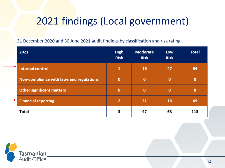### 2021 findings (Local government)

31 December 2020 and 30 June 2021 audit findings by classification and risk rating

| 2021                                     | <b>High</b><br><b>Risk</b> | <b>Moderate</b><br><b>Risk</b> | <b>Low</b><br><b>Risk</b> | <b>Total</b> |
|------------------------------------------|----------------------------|--------------------------------|---------------------------|--------------|
| <b>Internal control</b>                  | 1                          | 16                             | 47                        | 64           |
| Non-compliance with laws and regulations | 0                          | 0                              | $\mathbf o$               | O            |
| <b>Other significant matters</b>         | 0                          | 0                              | $\mathbf 0$               | O            |
| <b>Financial reporting</b>               | 2                          | 31                             | 16                        | 49           |
| Total                                    | З                          | 47                             | 63                        | 113          |

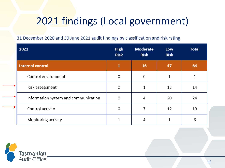### 2021 findings (Local government)

31 December 2020 and 30 June 2021 audit findings by classification and risk rating

| 2021                                 | <b>High</b><br><b>Risk</b> | <b>Moderate</b><br><b>Risk</b> | Low<br><b>Risk</b> | <b>Total</b> |
|--------------------------------------|----------------------------|--------------------------------|--------------------|--------------|
| <b>Internal control</b>              | 1                          | 16                             | 47                 | 64           |
| Control environment                  | 0                          | 0                              |                    |              |
| <b>Risk assessment</b>               | $\Omega$                   | 1                              | 13                 | 14           |
| Information system and communication | $\Omega$                   | 4                              | 20                 | 24           |
| Control activity                     | $\Omega$                   |                                | 12                 | 19           |
| Monitoring activity                  |                            | 4                              |                    | 6            |

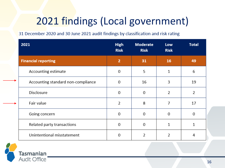## 2021 findings (Local government)

31 December 2020 and 30 June 2021 audit findings by classification and risk rating

| 2021                               | <b>High</b><br><b>Risk</b> | <b>Moderate</b><br><b>Risk</b> | Low<br><b>Risk</b> | <b>Total</b> |
|------------------------------------|----------------------------|--------------------------------|--------------------|--------------|
| <b>Financial reporting</b>         | $\overline{2}$             | 31                             | 16                 | 49           |
| Accounting estimate                | 0                          | 5                              | 1                  | 6            |
| Accounting standard non-compliance | 0                          | 16                             | 3                  | 19           |
| Disclosure                         | 0                          | 0                              | 2                  | 2            |
| Fair value                         | 2                          | 8                              | 7                  | 17           |
| Going concern                      | 0                          | 0                              | 0                  | 0            |
| Related party transactions         | 0                          | 0                              | 1                  | $\mathbf{1}$ |
| Unintentional misstatement         | 0                          | 2                              | 2                  | 4            |

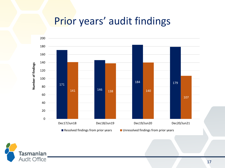### Prior years' audit findings



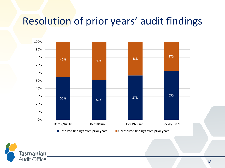### Resolution of prior years' audit findings



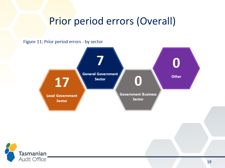### Prior period errors (Overall)

Figure 11: Prior period errors - by sector



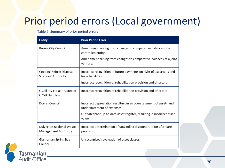### Prior period errors (Local government)

#### Table 5: Summary of prior period errors

| <b>Entity</b>                                                  | <b>Prior Period Error</b>                                                                                                                                                           |
|----------------------------------------------------------------|-------------------------------------------------------------------------------------------------------------------------------------------------------------------------------------|
| <b>Burnie City Council</b>                                     | Amendment arising from changes to comparative balances of a<br>controlled entity.<br>Amendment arising from changes to comparative balances of a joint<br>venture.                  |
| Copping Refuse Disposal<br>Site Joint Authority                | Incorrect recognition of future payments on right of use assets and<br>lease liabilities.<br>Incorrect recognition of rehabilitation provision and aftercare.                       |
| C Cell Pty Ltd as Trustee of<br>C Cell Unit Trust              | Incorrect recognition of rehabilitation provision and aftercare.                                                                                                                    |
| Dorset Council                                                 | Incorrect depreciation resulting in an overstatement of assets and<br>understatement of expenses.<br>Outdated/not up-to-date asset register, resulting in incorrect asset<br>value. |
| <b>Dulverton Regional Waste</b><br><b>Management Authority</b> | Incorrect determination of unwinding discount rate for aftercare<br>provision.                                                                                                      |
| Glamorgan Spring Bay<br>Council                                | Unrecognised revaluation of asset classes.                                                                                                                                          |

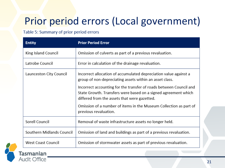## Prior period errors (Local government)

#### Table 5: Summary of prior period errors

| <b>Entity</b>             | <b>Prior Period Error</b>                                                                                                                                                            |  |  |
|---------------------------|--------------------------------------------------------------------------------------------------------------------------------------------------------------------------------------|--|--|
| King Island Council       | Omission of culverts as part of a previous revaluation.                                                                                                                              |  |  |
| Latrobe Council           | Error in calculation of the drainage revaluation.                                                                                                                                    |  |  |
| Launceston City Council   | Incorrect allocation of accumulated depreciation value against a<br>group of non-depreciating assets within an asset class.                                                          |  |  |
|                           | Incorrect accounting for the transfer of roads between Council and<br>State Growth. Transfers were based on a signed agreement which<br>differed from the assets that were gazetted. |  |  |
|                           | Omission of a number of items in the Museum Collection as part of<br>previous revaluation.                                                                                           |  |  |
| Sorell Council            | Removal of waste infrastructure assets no longer held.                                                                                                                               |  |  |
| Southern Midlands Council | Omission of land and buildings as part of a previous revaluation.                                                                                                                    |  |  |
| <b>West Coast Council</b> | Omission of stormwater assets as part of previous revaluation.                                                                                                                       |  |  |

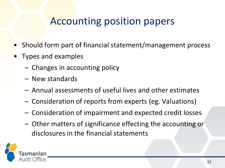### Accounting position papers

- Should form part of financial statement/management process
- Types and examples
	- Changes in accounting policy
	- New standards
	- Annual assessments of useful lives and other estimates
	- Consideration of reports from experts (eg. Valuations)
	- Consideration of impairment and expected credit losses
	- Other matters of significance effecting the accounting or disclosures in the financial statements

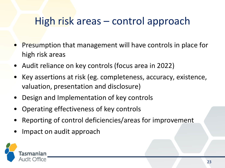### High risk areas – control approach

- Presumption that management will have controls in place for high risk areas
- Audit reliance on key controls (focus area in 2022)
- Key assertions at risk (eg. completeness, accuracy, existence, valuation, presentation and disclosure)
- Design and Implementation of key controls
- Operating effectiveness of key controls
- Reporting of control deficiencies/areas for improvement
- Impact on audit approach

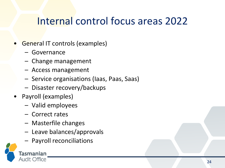### Internal control focus areas 2022

- General IT controls (examples)
	- Governance
	- Change management
	- Access management
	- Service organisations (Iaas, Paas, Saas)
	- Disaster recovery/backups
- Payroll (examples)
	- Valid employees
	- Correct rates
	- Masterfile changes
	- Leave balances/approvals
	- Payroll reconciliations

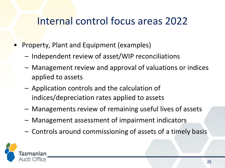### Internal control focus areas 2022

- Property, Plant and Equipment (examples)
	- Independent review of asset/WIP reconciliations
	- Management review and approval of valuations or indices applied to assets
	- Application controls and the calculation of indices/depreciation rates applied to assets
	- Managements review of remaining useful lives of assets
	- Management assessment of impairment indicators
	- Controls around commissioning of assets of a timely basis

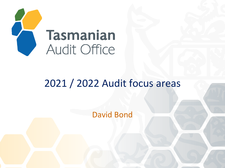

### 2021 / 2022 Audit focus areas

David Bond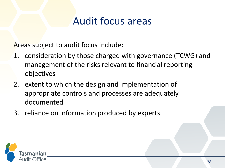### Audit focus areas

Areas subject to audit focus include:

- 1. consideration by those charged with governance (TCWG) and management of the risks relevant to financial reporting objectives
- 2. extent to which the design and implementation of appropriate controls and processes are adequately documented
- 3. reliance on information produced by experts.

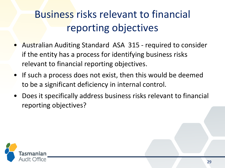# Business risks relevant to financial reporting objectives

- Australian Auditing Standard ASA 315 required to consider if the entity has a process for identifying business risks relevant to financial reporting objectives.
- If such a process does not exist, then this would be deemed to be a significant deficiency in internal control.
- Does it specifically address business risks relevant to financial reporting objectives?

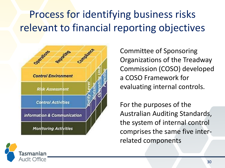# Process for identifying business risks relevant to financial reporting objectives



Committee of Sponsoring Organizations of the Treadway Commission (COSO) developed a COSO Framework for evaluating internal controls.

For the purposes of the Australian Auditing Standards, the system of internal control comprises the same five interrelated components

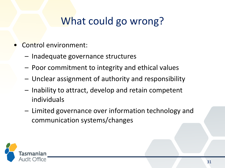- Control environment:
	- Inadequate governance structures
	- Poor commitment to integrity and ethical values
	- Unclear assignment of authority and responsibility
	- Inability to attract, develop and retain competent individuals
	- Limited governance over information technology and communication systems/changes

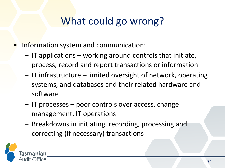- Information system and communication:
	- IT applications working around controls that initiate, process, record and report transactions or information
	- IT infrastructure limited oversight of network, operating systems, and databases and their related hardware and software
	- IT processes poor controls over access, change management, IT operations
	- Breakdowns in initiating, recording, processing and correcting (if necessary) transactions

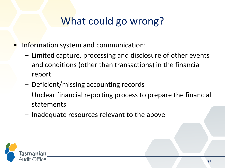- Information system and communication:
	- Limited capture, processing and disclosure of other events and conditions (other than transactions) in the financial report
	- Deficient/missing accounting records
	- Unclear financial reporting process to prepare the financial statements
	- Inadequate resources relevant to the above

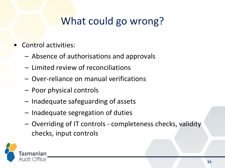- Control activities:
	- Absence of authorisations and approvals
	- Limited review of reconciliations
	- Over-reliance on manual verifications
	- Poor physical controls
	- Inadequate safeguarding of assets
	- Inadequate segregation of duties
	- Overriding of IT controls completeness checks, validity checks, input controls

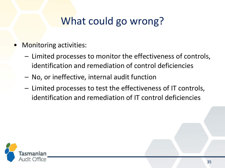- **Monitoring activities:** 
	- Limited processes to monitor the effectiveness of controls, identification and remediation of control deficiencies
	- No, or ineffective, internal audit function
	- Limited processes to test the effectiveness of IT controls, identification and remediation of IT control deficiencies

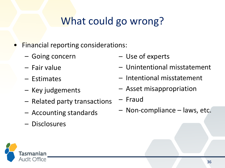- Financial reporting considerations:
	- Going concern
	- Fair value
	- Estimates
	- Key judgements
	- Related party transactions
	- Accounting standards
	- Disclosures
- Use of experts
- Unintentional misstatement
- Intentional misstatement
- Asset misappropriation
- Fraud
- Non-compliance laws, etc.

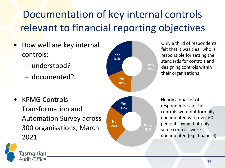# Documentation of key internal controls relevant to financial reporting objectives

- How well are key internal controls:
	- understood?
	- documented?



Only a third of respondents felt that it was clear who is responsible for setting the standards for controls and designing controls within their organisations

• KPMG Controls Transformation and Automation Survey across 300 organisations, March 2021



Nearly a quarter of respondents said the controls were not formally documented with over 60 percent saying that only some controls were documented (e.g. financial)

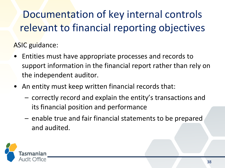# Documentation of key internal controls relevant to financial reporting objectives

ASIC guidance:

- Entities must have appropriate processes and records to support information in the financial report rather than rely on the independent auditor.
- An entity must keep written financial records that:
	- correctly record and explain the entity's transactions and its financial position and performance
	- enable true and fair financial statements to be prepared and audited.

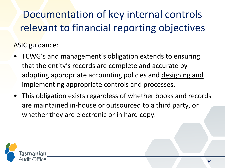# Documentation of key internal controls relevant to financial reporting objectives

ASIC guidance:

- TCWG's and management's obligation extends to ensuring that the entity's records are complete and accurate by adopting appropriate accounting policies and designing and implementing appropriate controls and processes.
- This obligation exists regardless of whether books and records are maintained in-house or outsourced to a third party, or whether they are electronic or in hard copy.

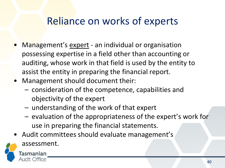### Reliance on works of experts

- Management's expert an individual or organisation possessing expertise in a field other than accounting or auditing, whose work in that field is used by the entity to assist the entity in preparing the financial report.
- Management should document their:
	- consideration of the competence, capabilities and objectivity of the expert
	- understanding of the work of that expert
	- evaluation of the appropriateness of the expert's work for use in preparing the financial statements.
- Audit committees should evaluate management's



assessment.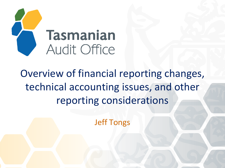

# Overview of financial reporting changes, technical accounting issues, and other reporting considerations

Jeff Tongs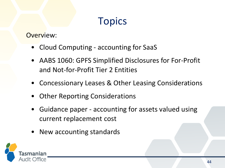### **Topics**

Overview:

- Cloud Computing accounting for SaaS
- AABS 1060: GPFS Simplified Disclosures for For-Profit and Not-for-Profit Tier 2 Entities
- Concessionary Leases & Other Leasing Considerations
- Other Reporting Considerations
- Guidance paper accounting for assets valued using current replacement cost
- New accounting standards

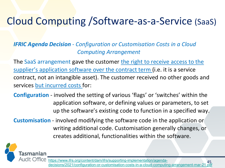### Cloud Computing /Software-as-a-Service (SaaS)

### *IFRIC Agenda Decision* - *Configuration or Customisation Costs in a Cloud Computing Arrangement*

The SaaS arrangement gave the customer the right to receive access to the supplier's application software over the contract term (i.e. it is a service contract, not an intangible asset). The customer received no other goods and services but incurred costs for:

**Configuration** - involved the setting of various 'flags' or 'switches' within the application software, or defining values or parameters, to set up the software's existing code to function in a specified way.

**Customisation** - involved modifying the software code in the application or writing additional code. Customisation generally changes, or creates additional, functionalities within the software.



45 https://www.ifrs.org/content/dam/ifrs/supporting-implementation/agenda[decisions/2021/configuration-or-customisation-costs-in-a-cloud-computing-arrangement-mar-21.pdf](https://www.ifrs.org/content/dam/ifrs/supporting-implementation/agenda-decisions/2021/configuration-or-customisation-costs-in-a-cloud-computing-arrangement-mar-21.pdf)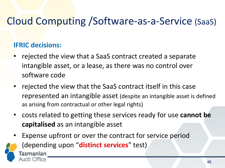### Cloud Computing /Software-as-a-Service (SaaS)

### **IFRIC decisions:**

- rejected the view that a SaaS contract created a separate intangible asset, or a lease, as there was no control over software code
- rejected the view that the SaaS contract itself in this case represented an intangible asset (despite an intangible asset is defined as arising from contractual or other legal rights)
- costs related to getting these services ready for use **cannot be capitalised** as an intangible asset
- Expense upfront or over the contract for service period



(depending upon "**distinct services**" test)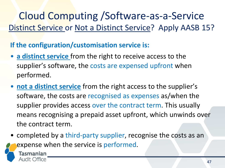### Cloud Computing /Software-as-a-Service Distinct Service or Not a Distinct Service? Apply AASB 15?

**If the configuration/customisation service is:** 

Tasmanian Audit Office

- **a distinct service** from the right to receive access to the supplier's software, the costs are expensed upfront when performed.
- **not a distinct service** from the right access to the supplier's software, the costs are recognised as expenses as/when the supplier provides access over the contract term. This usually means recognising a prepaid asset upfront, which unwinds over the contract term.
- completed by a third-party supplier, recognise the costs as an expense when the service is performed.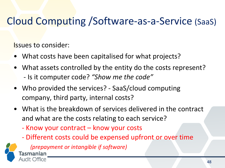### Cloud Computing /Software-as-a-Service (SaaS)

Issues to consider:

- What costs have been capitalised for what projects?
- What assets controlled by the entity do the costs represent? - Is it computer code? *"Show me the code"*
- Who provided the services? SaaS/cloud computing company, third party, internal costs?
- What is the breakdown of services delivered in the contract and what are the costs relating to each service?
	- Know your contract know your costs
	- Different costs could be expensed upfront or over time



*(prepayment or intangible if software)* **Tasmanian**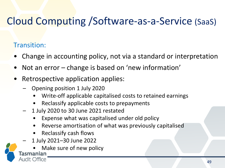### Cloud Computing /Software-as-a-Service (SaaS)

### Transition:

- Change in accounting policy, not via a standard or interpretation
- Not an error change is based on 'new information'
- Retrospective application applies:
	- Opening position 1 July 2020
		- Write-off applicable capitalised costs to retained earnings
		- Reclassify applicable costs to prepayments
	- 1 July 2020 to 30 June 2021 restated
		- Expense what was capitalised under old policy
		- Reverse amortisation of what was previously capitalised
		- Reclassify cash flows
	- 1 July 2021–30 June 2022

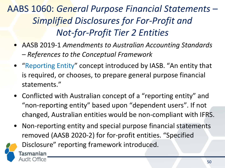AABS 1060: *General Purpose Financial Statements* – *Simplified Disclosures for For-Profit and Not-for-Profit Tier 2 Entities*

- AASB 2019-1 *Amendments to Australian Accounting Standards – References to the Conceptual Framework*
- "Reporting Entity" concept introduced by IASB. "An entity that is required, or chooses, to prepare general purpose financial statements."
- Conflicted with Australian concept of a "reporting entity" and "non-reporting entity" based upon "dependent users". If not changed, Australian entities would be non-compliant with IFRS.
- Non-reporting entity and special purpose financial statements removed (AASB 2020-2) for for-profit entities. "Specified



Disclosure" reporting framework introduced.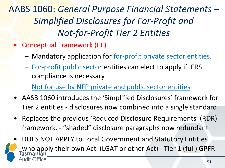AABS 1060: *General Purpose Financial Statements* – *Simplified Disclosures for For-Profit and Not-for-Profit Tier 2 Entities*

- Conceptual Framework (CF)
	- Mandatory application for for-profit private sector entities.
	- For-profit public sector entities can elect to apply if IFRS compliance is necessary
	- Not for use by NFP private and public sector entities
- AASB 1060 introduces the 'Simplified Disclosures' framework for Tier 2 entities - disclosures now combined into a single standard
- Replaces the previous 'Reduced Disclosure Requirements' (RDR) framework. - "shaded" disclosure paragraphs now redundant
- DOES NOT APPLY to Local Government and Statutory Entities who apply their own Act (LGAT or other Act) - Tier 1 (full) GPFR Office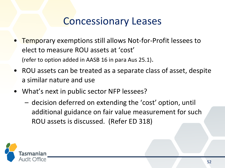### Concessionary Leases

- Temporary exemptions still allows Not-for-Profit lessees to elect to measure ROU assets at 'cost' (refer to option added in AASB 16 in para Aus 25.1).
- ROU assets can be treated as a separate class of asset, despite a similar nature and use
- What's next in public sector NFP lessees?
	- decision deferred on extending the 'cost' option, until additional guidance on fair value measurement for such ROU assets is discussed. (Refer ED 318)

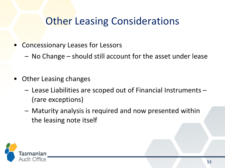### **Other Leasing Considerations**

- Concessionary Leases for Lessors
	- No Change should still account for the asset under lease
- Other Leasing changes
	- Lease Liabilities are scoped out of Financial Instruments (rare exceptions)
	- Maturity analysis is required and now presented within the leasing note itself

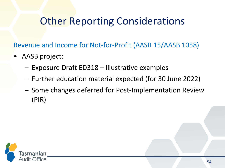### **Other Reporting Considerations**

Revenue and Income for Not-for-Profit (AASB 15/AASB 1058)

- AASB project:
	- Exposure Draft ED318 Illustrative examples
	- Further education material expected (for 30 June 2022)
	- Some changes deferred for Post-Implementation Review (PIR)

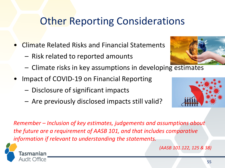### **Other Reporting Considerations**

- Climate Related Risks and Financial Statements
	- Risk related to reported amounts
	- Climate risks in key assumptions in developing estimates
- Impact of COVID-19 on Financial Reporting
	- Disclosure of significant impacts
	- Are previously disclosed impacts still valid?



*(AASB 101.122, 125 & 38)*





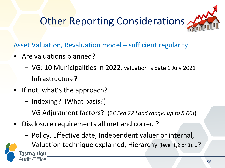

Asset Valuation, Revaluation model – sufficient regularity

- Are valuations planned?
	- VG: 10 Municipalities in 2022, valuation is date 1 July 2021
	- Infrastructure?

Tasmanian

ıdit Office

- If not, what's the approach?
	- Indexing? (What basis?)
	- VG Adjustment factors? (*28 Feb 22 Land range: up to 5.00!*)
- Disclosure requirements all met and correct?
	- Policy, Effective date, Independent valuer or internal,

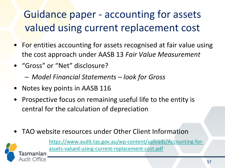# Guidance paper - accounting for assets valued using current replacement cost

- For entities accounting for assets recognised at fair value using the cost approach under AASB 13 *Fair Value Measurement*
- "Gross" or "Net" disclosure?
	- *Model Financial Statements – look for Gross*
- Notes key points in AASB 116

Office

- Prospective focus on remaining useful life to the entity is central for the calculation of depreciation
- TAO website resources under Other Client Information

[https://www.audit.tas.gov.au/wp-content/uploads/Accounting-for](https://www.audit.tas.gov.au/wp-content/uploads/Accounting-for-assets-valued-using-current-replacement-cost.pdf)assets-valued-using-current-replacement-cost.pdf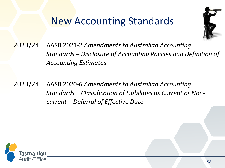### New Accounting Standards



2023/24 AASB 2021-2 *Amendments to Australian Accounting Standards – Disclosure of Accounting Policies and Definition of Accounting Estimates* 

2023/24 AASB 2020-6 *Amendments to Australian Accounting Standards – Classification of Liabilities as Current or Noncurrent – Deferral of Effective Date*

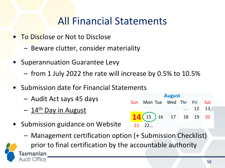### All Financial Statements

- To Disclose or Not to Disclose
	- Beware clutter, consider materiality
- Superannuation Guarantee Levy
	- from 1 July 2022 the rate will increase by 0.5% to 10.5%
- Submission date for Financial Statements
	- Audit Act says 45 days
	- $-14$ <sup>th</sup> Day in August
- Submission guidance on Website
	- Management certification option (+ Submission Checklist)

| <b>August</b> |    |  |                                 |  |    |            |  |
|---------------|----|--|---------------------------------|--|----|------------|--|
| <b>Sun</b>    |    |  | Mon Tue Wed Thr Fri             |  |    | <b>Sat</b> |  |
|               |    |  |                                 |  | 12 | 13         |  |
|               |    |  | $\frac{1}{4}$ (15 ) 16 17 18 19 |  |    | - 20       |  |
| 21            | 22 |  |                                 |  |    |            |  |

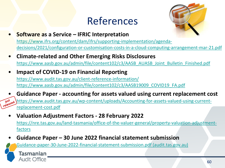### References



- **Software as a Service – IFRIC Interpretation** https://www.ifrs.org/content/dam/ifrs/supporting-implementation/agenda[decisions/2021/configuration-or-customisation-costs-in-a-cloud-computing-arrangement-mar-21.pdf](https://www.ifrs.org/content/dam/ifrs/supporting-implementation/agenda-decisions/2021/configuration-or-customisation-costs-in-a-cloud-computing-arrangement-mar-21.pdf)
- **Climate-related and Other Emerging Risks Disclosures** [https://www.aasb.gov.au/admin/file/content102/c3/AASB\\_AUASB\\_Joint\\_Bulletin\\_Finished.pdf](https://www.aasb.gov.au/admin/file/content102/c3/AASB_AUASB_Joint_Bulletin_Finished.pdf)
- **Impact of COVID-19 on Financial Reporting** <https://www.audit.tas.gov.au/client-reference-information/> [https://www.aasb.gov.au/admin/file/content102/c3/AASB19009\\_COVID19\\_FA.pdf](https://www.aasb.gov.au/admin/file/content102/c3/AASB19009_COVID19_FA.pdf)
- **Guidance Paper - accounting for assets valued using current replacement cost JUST** [https://www.audit.tas.gov.au/wp-content/uploads/Accounting-for-assets-valued-using-current](https://www.audit.tas.gov.au/wp-content/uploads/Accounting-for-assets-valued-using-current-replacement-cost.pdf)replacement-cost.pdf
	- **Valuation Adjustment Factors - 28 February 2022** [https://nre.tas.gov.au/land-tasmania/office-of-the-valuer-general/property-valuation-adjustment](https://nre.tas.gov.au/land-tasmania/office-of-the-valuer-general/property-valuation-adjustment-factors)factors
	- **Guidance Paper – 30 June 2022 financial statement submission**

[Guidance-paper-30-June-2022-financial-statement-submission.pdf \(audit.tas.gov.au\)](https://www.audit.tas.gov.au/wp-content/uploads/Guidance-paper-30-June-2022-financial-statement-submission.pdf)

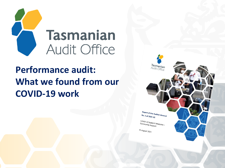

### **Performance audit: What we found from our COVID-19 work**

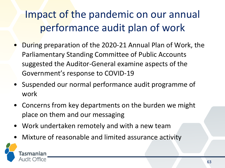# Impact of the pandemic on our annual performance audit plan of work

- During preparation of the 2020-21 Annual Plan of Work, the Parliamentary Standing Committee of Public Accounts suggested the Auditor-General examine aspects of the Government's response to COVID-19
- Suspended our normal performance audit programme of work
- Concerns from key departments on the burden we might place on them and our messaging
- Work undertaken remotely and with a new team
- Mixture of reasonable and limited assurance activity

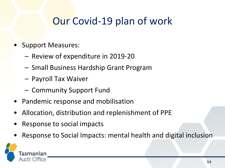### Our Covid-19 plan of work

- Support Measures:
	- Review of expenditure in 2019-20
	- Small Business Hardship Grant Program
	- Payroll Tax Waiver
	- Community Support Fund
- Pandemic response and mobilisation
- Allocation, distribution and replenishment of PPE
- Response to social impacts
- Response to Social Impacts: mental health and digital inclusion

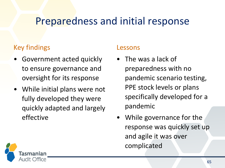### Preparedness and initial response

### Key findings

- Government acted quickly to ensure governance and oversight for its response
- While initial plans were not fully developed they were quickly adapted and largely effective

#### Lessons

- The was a lack of preparedness with no pandemic scenario testing, PPE stock levels or plans specifically developed for a pandemic
- While governance for the response was quickly set up and agile it was over complicated

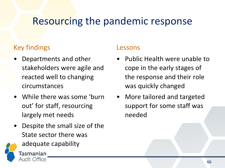### Resourcing the pandemic response

### Key findings

- Departments and other stakeholders were agile and reacted well to changing circumstances
- While there was some 'burn out' for staff, resourcing largely met needs
- Despite the small size of the State sector there was
	- adequate capability



### Lessons

- Public Health were unable to cope in the early stages of the response and their role was quickly changed
- More tailored and targeted support for some staff was needed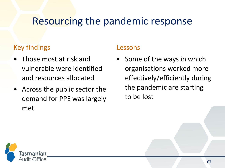### Resourcing the pandemic response

### Key findings

- Those most at risk and vulnerable were identified and resources allocated
- Across the public sector the demand for PPE was largely met

### Lessons

• Some of the ways in which organisations worked more effectively/efficiently during the pandemic are starting to be lost

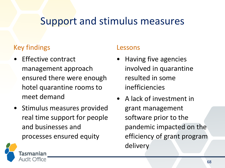### Support and stimulus measures

### Key findings

- **Effective contract** management approach ensured there were enough hotel quarantine rooms to meet demand
- Stimulus measures provided real time support for people and businesses and processes ensured equity

#### Lessons

- Having five agencies involved in quarantine resulted in some inefficiencies
- A lack of investment in grant management software prior to the pandemic impacted on the efficiency of grant program delivery

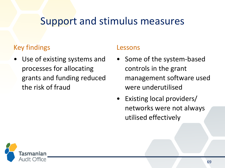### Support and stimulus measures

### Key findings

Use of existing systems and processes for allocating grants and funding reduced the risk of fraud

#### Lessons

- Some of the system-based controls in the grant management software used were underutilised
- Existing local providers/ networks were not always utilised effectively

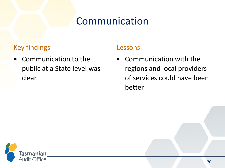### Communication

### Key findings

• Communication to the public at a State level was clear

### Lessons

• Communication with the regions and local providers of services could have been better

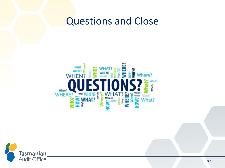### Questions and Close